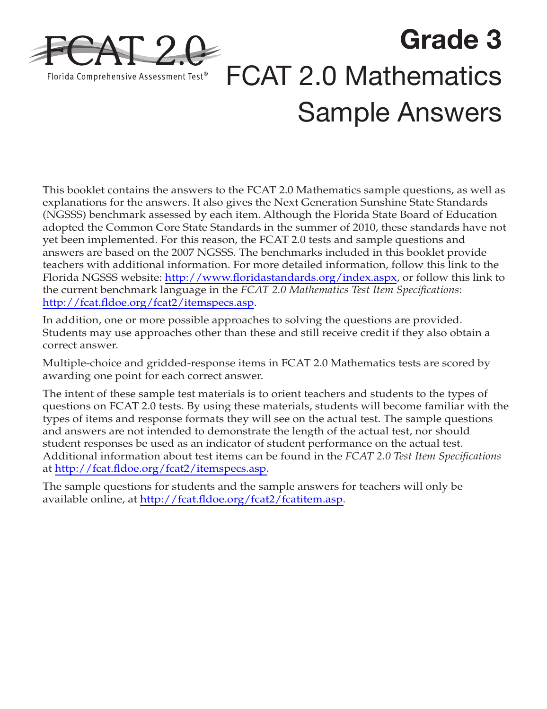

**Grade 3** FCAT 2.0 Mathematics Sample Answers

This booklet contains the answers to the FCAT 2.0 Mathematics sample questions, as well as explanations for the answers. It also gives the Next Generation Sunshine State Standards (NGSSS) benchmark assessed by each item. Although the Florida State Board of Education adopted the Common Core State Standards in the summer of 2010, these standards have not yet been implemented. For this reason, the FCAT 2.0 tests and sample questions and answers are based on the 2007 NGSSS. The benchmarks included in this booklet provide teachers with additional information. For more detailed information, follow this link to the Florida NGSSS website: <http://www.floridastandards.org/index.aspx>, or follow this link to the current benchmark language in the *FCAT 2.0 Mathematics Test Item Specifications*: <http://fcat.fldoe.org/fcat2/itemspecs.asp>.

In addition, one or more possible approaches to solving the questions are provided. Students may use approaches other than these and still receive credit if they also obtain a correct answer.

Multiple-choice and gridded-response items in FCAT 2.0 Mathematics tests are scored by awarding one point for each correct answer.

The intent of these sample test materials is to orient teachers and students to the types of questions on FCAT 2.0 tests. By using these materials, students will become familiar with the types of items and response formats they will see on the actual test. The sample questions and answers are not intended to demonstrate the length of the actual test, nor should student responses be used as an indicator of student performance on the actual test. Additional information about test items can be found in the *FCAT 2.0 Test Item Specifications* at [http://fcat.fldoe.org/fcat2/itemspecs.asp.](http://fcat.fldoe.org/fcat2/itemspecs.asp)

The sample questions for students and the sample answers for teachers will only be available online, at [http://fcat.fldoe.org/fcat2/fcatitem.asp.](http://fcat.fldoe.org/fcat2/fcatitem.asp)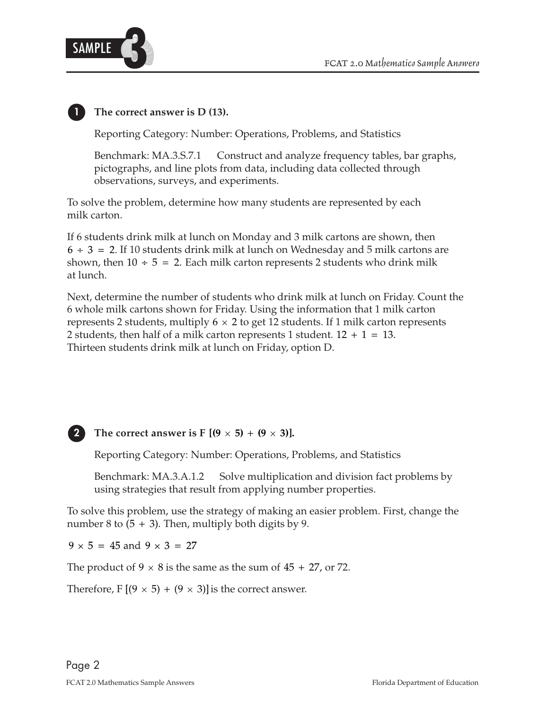

## **1 The correct answer is D (13).**

Reporting Category: Number: Operations, Problems, and Statistics

Benchmark: MA.3.S.7.1 Construct and analyze frequency tables, bar graphs, pictographs, and line plots from data, including data collected through observations, surveys, and experiments.

To solve the problem, determine how many students are represented by each milk carton.

shown, then  $10 \div 5 = 2$ . Each milk carton represents 2 students who drink milk If 6 students drink milk at lunch on Monday and 3 milk cartons are shown, then  $6 \div 3 = 2$ . If 10 students drink milk at lunch on Wednesday and 5 milk cartons are at lunch.

represents 2 students, multiply 6  $\times$  2 to get 12 students. If 1 milk carton represents 2 students, then half of a milk carton represents 1 student.  $12 + 1 = 13$ . Next, determine the number of students who drink milk at lunch on Friday. Count the 6 whole milk cartons shown for Friday. Using the information that 1 milk carton Thirteen students drink milk at lunch on Friday, option D.

### **2** The correct answer is F  $[(9 \times 5) + (9 \times 3)]$ .

Reporting Category: Number: Operations, Problems, and Statistics

Benchmark: MA.3.A.1.2 Solve multiplication and division fact problems by using strategies that result from applying number properties.

number 8 to  $(5 + 3)$ . Then, multiply both digits by 9. To solve this problem, use the strategy of making an easier problem. First, change the

 $9 \times 5 = 45$  and  $9 \times 3 = 27$ 

The product of  $9 \times 8$  is the same as the sum of  $45 + 27$ , or 72.

Therefore, F  $[(9 \times 5) + (9 \times 3)]$  is the correct answer.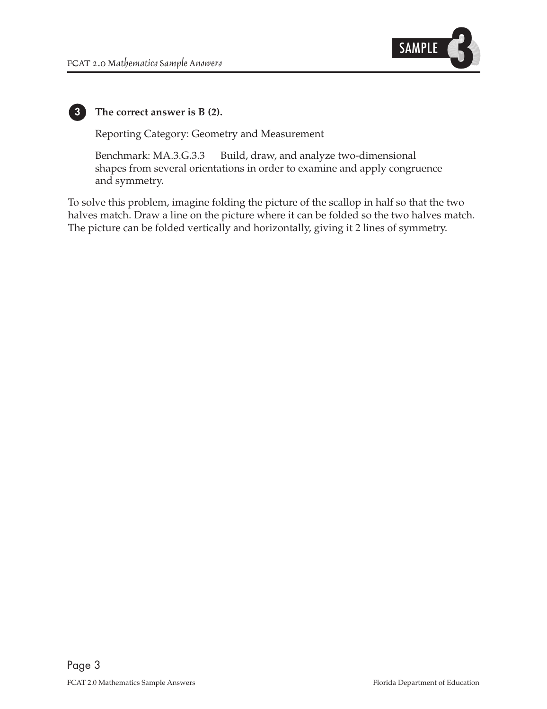

# **3**

 **The correct answer is B (2).**

Reporting Category: Geometry and Measurement

Benchmark: MA.3.G.3.3 Build, draw, and analyze two-dimensional shapes from several orientations in order to examine and apply congruence and symmetry.

To solve this problem, imagine folding the picture of the scallop in half so that the two halves match. Draw a line on the picture where it can be folded so the two halves match. The picture can be folded vertically and horizontally, giving it 2 lines of symmetry.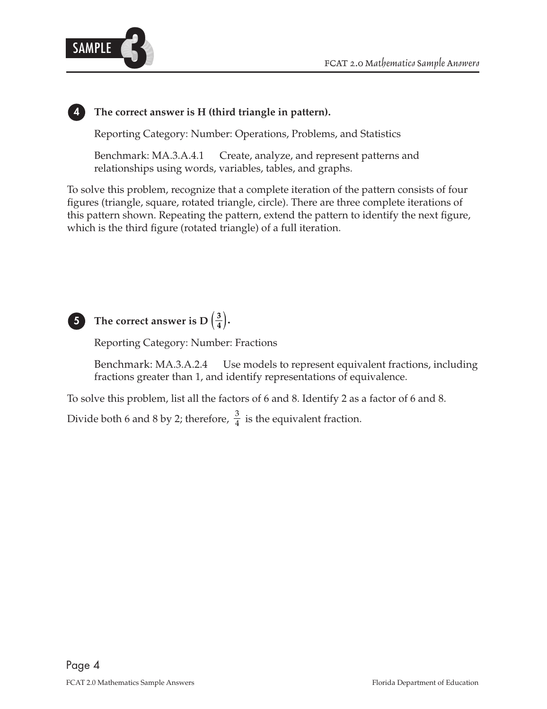

### **The correct answer is H (third triangle in pattern).**

Reporting Category: Number: Operations, Problems, and Statistics

Benchmark: MA.3.A.4.1 Create, analyze, and represent patterns and relationships using words, variables, tables, and graphs.

To solve this problem, recognize that a complete iteration of the pattern consists of four figures (triangle, square, rotated triangle, circle). There are three complete iterations of this pattern shown. Repeating the pattern, extend the pattern to identify the next figure, which is the third figure (rotated triangle) of a full iteration.



**4**

# **5** The correct answer is D $\left(\frac{3}{4}\right)$ .

Reporting Category: Number: Fractions

Benchmark: MA.3.A.2.4 Use models to represent equivalent fractions, including fractions greater than 1, and identify representations of equivalence.

To solve this problem, list all the factors of 6 and 8. Identify 2 as a factor of 6 and 8.

3 Divide both 6 and 8 by 2; therefore,  $\frac{3}{4}$  is the equivalent fraction.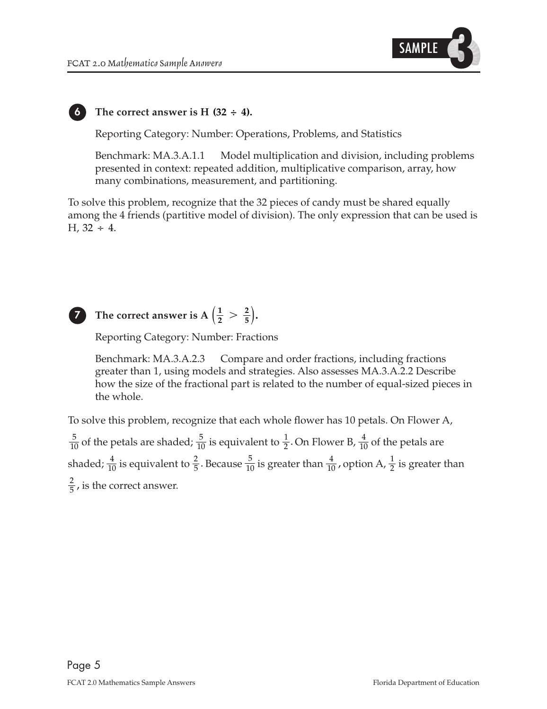

### The correct answer is  $H(32 \div 4)$ .

Reporting Category: Number: Operations, Problems, and Statistics

Benchmark: MA.3.A.1.1 Model multiplication and division, including problems presented in context: repeated addition, multiplicative comparison, array, how many combinations, measurement, and partitioning.

 $H, 32 \div 4.$ To solve this problem, recognize that the 32 pieces of candy must be shared equally among the 4 friends (partitive model of division). The only expression that can be used is



**6**

### The correct answer is A  $\left(\frac{1}{2}\right)$ **2 7** The correct answer is  $A\left(\frac{1}{2} > \frac{2}{5}\right)$ .

Reporting Category: Number: Fractions

Benchmark: MA.3.A.2.3 Compare and order fractions, including fractions greater than 1, using models and strategies. Also assesses MA.3.A.2.2 Describe how the size of the fractional part is related to the number of equal-sized pieces in the whole.

 $\frac{2}{5}$ , is the correct answer. 1 2  $\frac{5}{10}$  is greater than  $\frac{4}{10}$ , shaded;  $\frac{4}{10}$  is equivalent to  $\frac{2}{5}$ . Because  $\frac{5}{10}$  is greater than  $\frac{4}{10}$ , option A,  $\frac{1}{2}$  is greater than 4 10  $\frac{5}{10}$  is equivalent to  $\frac{1}{2}$ . 5  $\frac{5}{10}$  of the petals are shaded;  $\frac{5}{10}$  is equivalent to  $\frac{1}{2}$ . On Flower B,  $\frac{1}{10}$  of the petals are To solve this problem, recognize that each whole flower has 10 petals. On Flower A,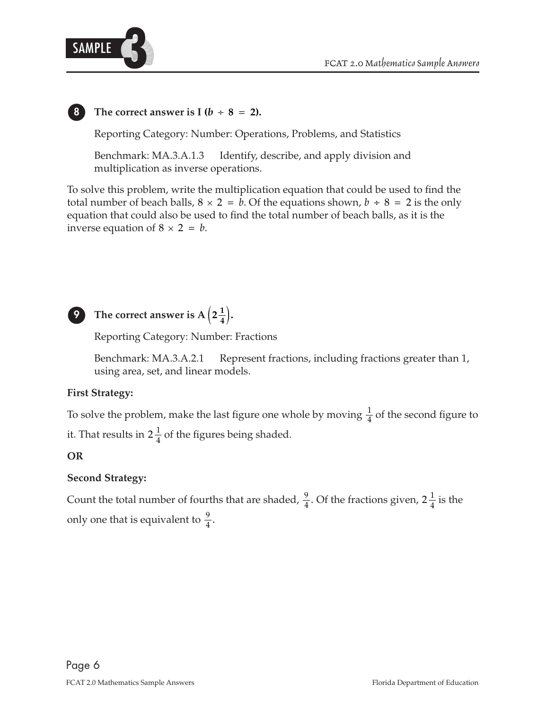

### The correct answer is I ( $b \div 8 = 2$ ).

Reporting Category: Number: Operations, Problems, and Statistics

Benchmark: MA.3.A.1.3 Identify, describe, and apply division and multiplication as inverse operations.

inverse equation of  $8 \times 2 = b$ . total number of beach balls,  $8 \times 2 = b$ . Of the equations shown,  $b \div 8 = 2$  is the only To solve this problem, write the multiplication equation that could be used to find the equation that could also be used to find the total number of beach balls, as it is the



# **9** The correct answer is A  $\left(2\frac{1}{4}\right)$ .

Reporting Category: Number: Fractions

Benchmark: MA.3.A.2.1 Represent fractions, including fractions greater than 1, using area, set, and linear models.

### **First Strategy:**

 $\frac{1}{4}$  of the second figure to it. That results in  $2\frac{1}{4}$  of the figures being shaded. To solve the problem, make the last figure one whole by moving  $\frac{1}{4}$ 

### **OR**

### **Second Strategy:**

only one that is equivalent to  $\frac{9}{4}$ .  $2\frac{1}{4}$ Count the total number of fourths that are shaded,  $\frac{9}{4}$ . Of the fractions given, 2 $\frac{1}{4}$  is the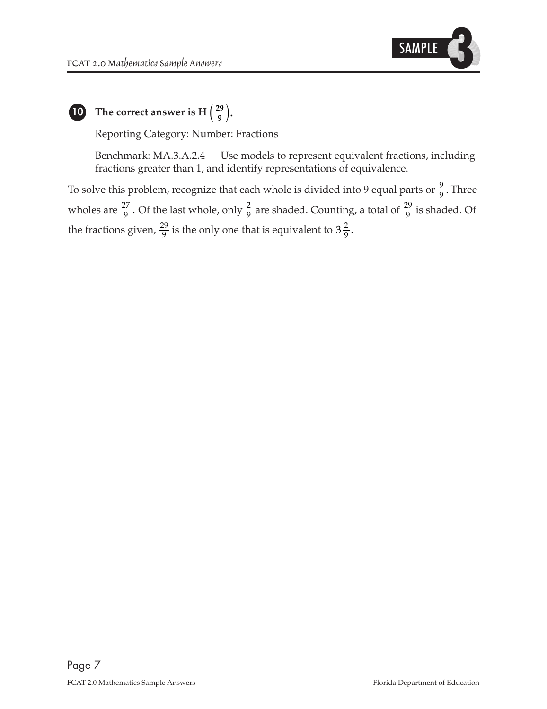

**10** The correct answer is H $\left(\frac{29}{9}\right)$ .

Reporting Category: Number: Fractions

Benchmark: MA.3.A.2.4 Use models to represent equivalent fractions, including fractions greater than 1, and identify representations of equivalence.

the fractions given,  $\frac{29}{9}$  is the only one that is equivalent to  $3\frac{2}{9}$ . 29 9 2 9 wholes are  $\frac{27}{9}$ . Of the last whole, only  $\frac{2}{9}$  are shaded. Counting, a total of  $\frac{29}{9}$  is shaded. Of To solve this problem, recognize that each whole is divided into 9 equal parts or  $\frac{9}{9}$ . Three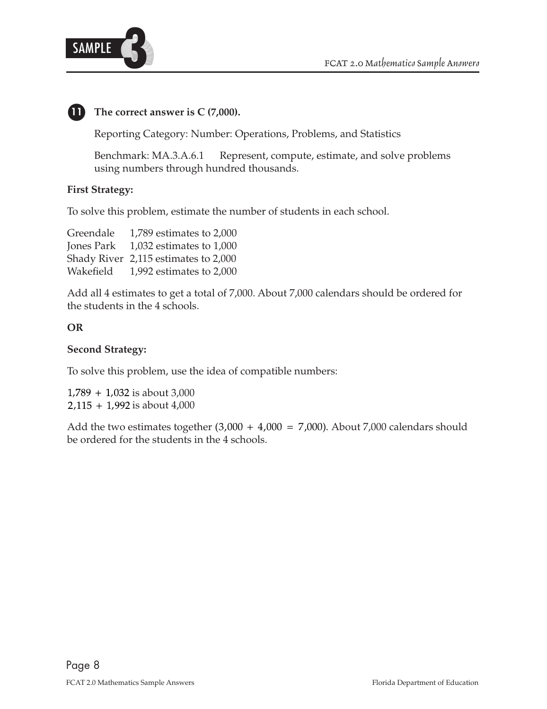

## **11 The correct answer is C (7,000).**

Reporting Category: Number: Operations, Problems, and Statistics

Benchmark: MA.3.A.6.1 Represent, compute, estimate, and solve problems using numbers through hundred thousands.

### **First Strategy:**

To solve this problem, estimate the number of students in each school.

| 1,789 estimates to 2,000             |
|--------------------------------------|
| 1,032 estimates to $1,000$           |
| Shady River 2,115 estimates to 2,000 |
| 1,992 estimates to 2,000             |
|                                      |

Add all 4 estimates to get a total of 7,000. About 7,000 calendars should be ordered for the students in the 4 schools.

### **OR**

### **Second Strategy:**

To solve this problem, use the idea of compatible numbers:

,789 + 1,032 is about 3,000 ,115 + 1,992 is about 4,000

Add the two estimates together  $(3,000 + 4,000 = 7,000)$ . About 7,000 calendars should be ordered for the students in the 4 schools.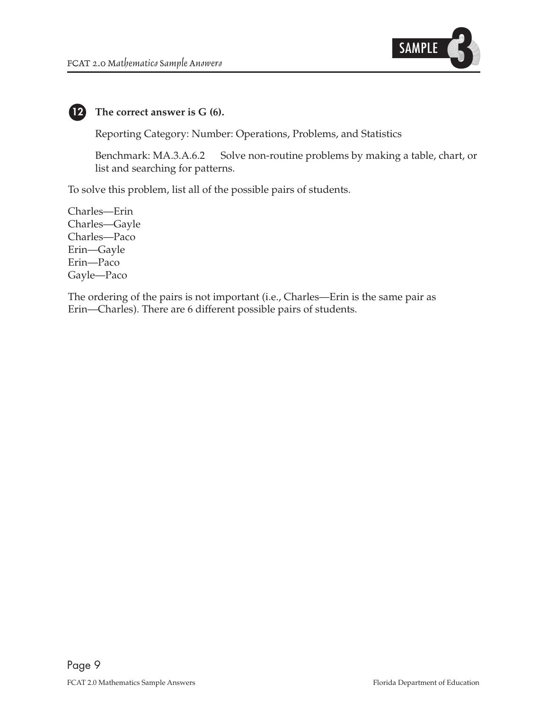

### **The correct answer is G (6). 12**

Reporting Category: Number: Operations, Problems, and Statistics

Benchmark: MA.3.A.6.2 Solve non-routine problems by making a table, chart, or list and searching for patterns.

To solve this problem, list all of the possible pairs of students.

Charles—Erin Charles—Gayle Charles—Paco Erin—Gayle Erin—Paco Gayle—Paco

The ordering of the pairs is not important (i.e., Charles—Erin is the same pair as Erin—Charles). There are 6 different possible pairs of students.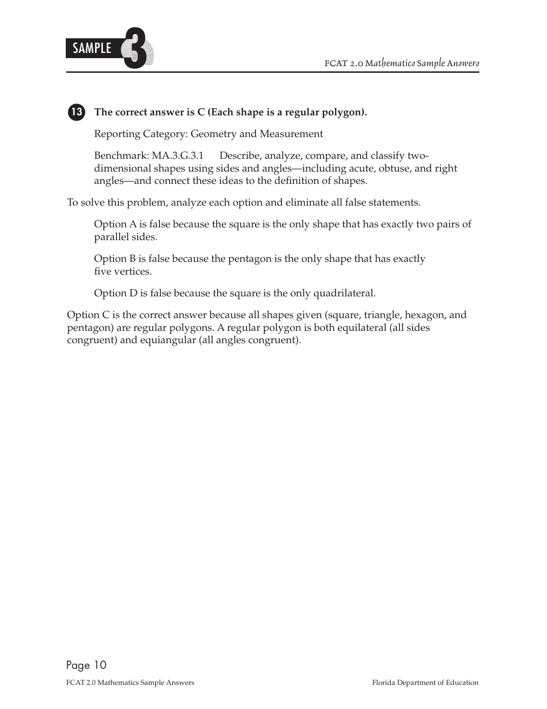

### **13 The correct answer is C (Each shape is a regular polygon).**

Reporting Category: Geometry and Measurement

Benchmark: MA.3.G.3.1 Describe, analyze, compare, and classify twodimensional shapes using sides and angles—including acute, obtuse, and right angles—and connect these ideas to the definition of shapes.

To solve this problem, analyze each option and eliminate all false statements.

Option A is false because the square is the only shape that has exactly two pairs of parallel sides.

Option B is false because the pentagon is the only shape that has exactly five vertices.

Option D is false because the square is the only quadrilateral.

Option C is the correct answer because all shapes given (square, triangle, hexagon, and pentagon) are regular polygons. A regular polygon is both equilateral (all sides congruent) and equiangular (all angles congruent).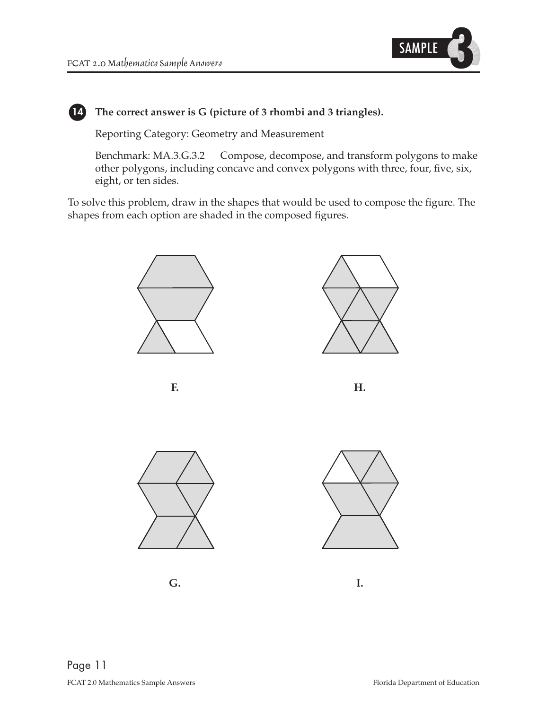

### **The correct answer is G (picture of 3 rhombi and 3 triangles). 14**

Reporting Category: Geometry and Measurement

Benchmark: MA.3.G.3.2 Compose, decompose, and transform polygons to make other polygons, including concave and convex polygons with three, four, five, six, eight, or ten sides.

To solve this problem, draw in the shapes that would be used to compose the figure. The shapes from each option are shaded in the composed figures.



**F.**

**H.**



**G.**



**I.**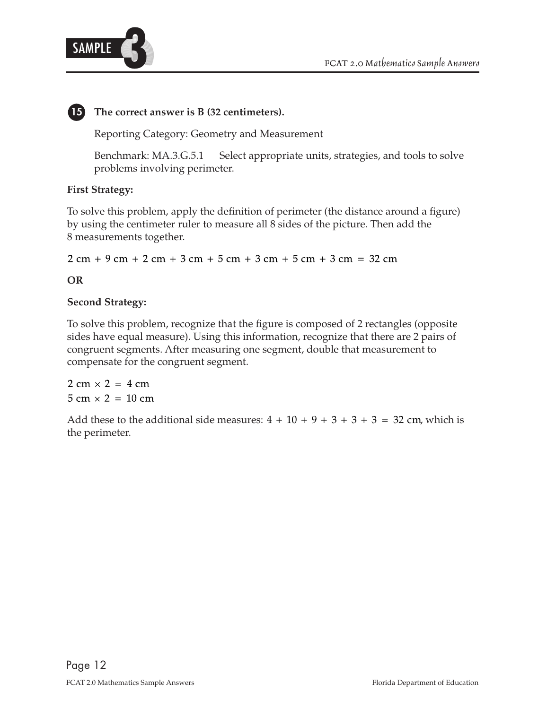

## **15** The correct answer is B (32 centimeters).

Reporting Category: Geometry and Measurement

Benchmark: MA.3.G.5.1 Select appropriate units, strategies, and tools to solve problems involving perimeter.

### **First Strategy:**

To solve this problem, apply the definition of perimeter (the distance around a figure) by using the centimeter ruler to measure all 8 sides of the picture. Then add the 8 measurements together.

 $2 \text{ cm} + 9 \text{ cm} + 2 \text{ cm} + 3 \text{ cm} + 5 \text{ cm} + 3 \text{ cm} + 5 \text{ cm} + 3 \text{ cm} = 32 \text{ cm}$ 

### **OR**

### **Second Strategy:**

To solve this problem, recognize that the figure is composed of 2 rectangles (opposite sides have equal measure). Using this information, recognize that there are 2 pairs of congruent segments. After measuring one segment, double that measurement to compensate for the congruent segment.

 $2 \text{ cm} \times 2 = 4 \text{ cm}$  $5 \text{ cm} \times 2 = 10 \text{ cm}$ 

Add these to the additional side measures:  $4 + 10 + 9 + 3 + 3 + 3 = 32$  cm, which is the perimeter.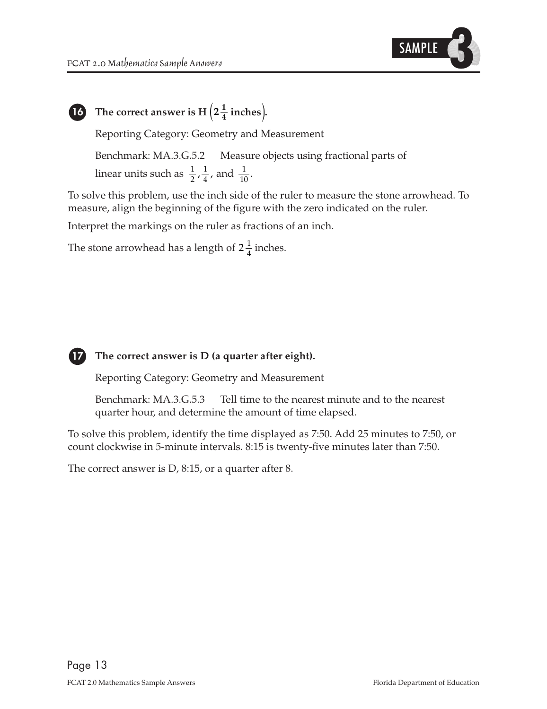

$$
\bigcirc
$$

# The correct answer is H  $\left(2\frac{1}{4}\right)$  inches).

Reporting Category: Geometry and Measurement

Benchmark: MA.3.G.5.2 Measure objects using fractional parts of

 $\frac{1}{2}, \frac{1}{4}$ , and  $\frac{1}{10}$ . 2 linear units such as  $\frac{1}{2}, \frac{1}{4}$ , and

To solve this problem, use the inch side of the ruler to measure the stone arrowhead. To measure, align the beginning of the figure with the zero indicated on the ruler.

Interpret the markings on the ruler as fractions of an inch.

The stone arrowhead has a length of  $2\frac{1}{4}$  inches.



### **17** The correct answer is D (a quarter after eight).

Reporting Category: Geometry and Measurement

Benchmark: MA.3.G.5.3 Tell time to the nearest minute and to the nearest quarter hour, and determine the amount of time elapsed.

To solve this problem, identify the time displayed as 7:50. Add 25 minutes to 7:50, or count clockwise in 5-minute intervals. 8:15 is twenty-five minutes later than 7:50.

The correct answer is D, 8:15, or a quarter after 8.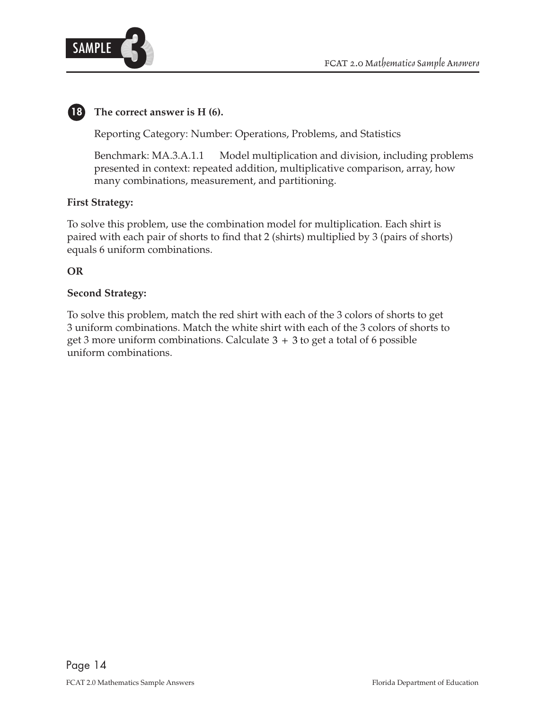

## **18 The correct answer is H (6).**

Reporting Category: Number: Operations, Problems, and Statistics

Benchmark: MA.3.A.1.1 Model multiplication and division, including problems presented in context: repeated addition, multiplicative comparison, array, how many combinations, measurement, and partitioning.

### **First Strategy:**

To solve this problem, use the combination model for multiplication. Each shirt is paired with each pair of shorts to find that 2 (shirts) multiplied by 3 (pairs of shorts) equals 6 uniform combinations.

### **OR**

### **Second Strategy:**

get 3 more uniform combinations. Calculate  $3 + 3$  to get a total of 6 possible To solve this problem, match the red shirt with each of the 3 colors of shorts to get 3 uniform combinations. Match the white shirt with each of the 3 colors of shorts to uniform combinations.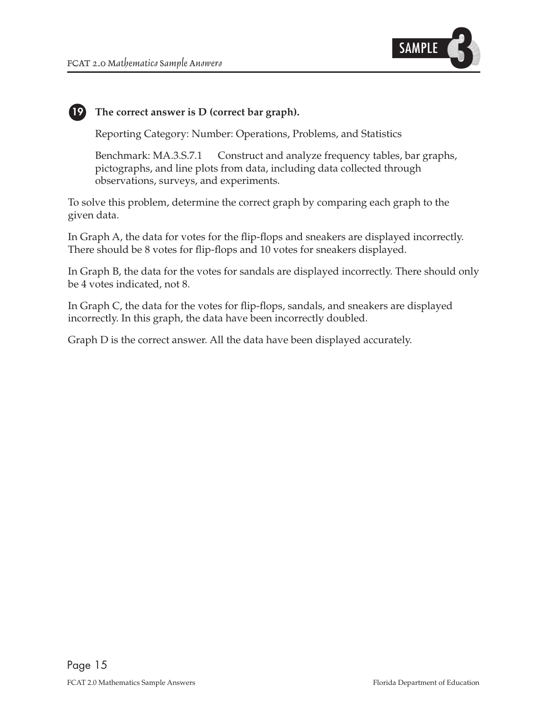**19**



### **The correct answer is D (correct bar graph).**

Reporting Category: Number: Operations, Problems, and Statistics

Benchmark: MA.3.S.7.1 Construct and analyze frequency tables, bar graphs, pictographs, and line plots from data, including data collected through observations, surveys, and experiments.

To solve this problem, determine the correct graph by comparing each graph to the given data.

In Graph A, the data for votes for the flip-flops and sneakers are displayed incorrectly. There should be 8 votes for flip-flops and 10 votes for sneakers displayed.

In Graph B, the data for the votes for sandals are displayed incorrectly. There should only be 4 votes indicated, not 8.

In Graph C, the data for the votes for flip-flops, sandals, and sneakers are displayed incorrectly. In this graph, the data have been incorrectly doubled.

Graph D is the correct answer. All the data have been displayed accurately.